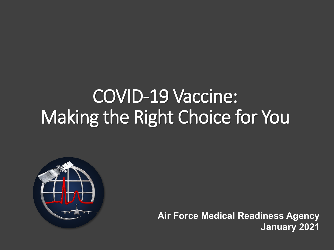### COVID-19 Vaccine: Making the Right Choice for You



**Air Force Medical Readiness Agency January 2021**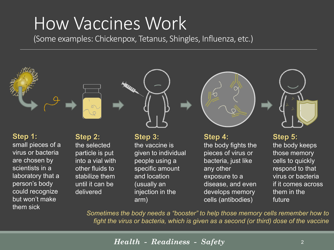#### How Vaccines Work

(Some examples: Chickenpox, Tetanus, Shingles, Influenza, etc.)



virus or bacteria are chosen by scientists in a laboratory that a person's body could recognize but won't make them sick

particle is put into a vial with other fluids to stabilize them until it can be delivered

given to individual people using a specific amount and location (usually an injection in the arm)

#### pieces of virus or bacteria, just like any other exposure to a disease, and even develops memory cells (antibodies)

those memory cells to quickly respond to that virus or bacteria if it comes across them in the future

*Sometimes the body needs a "booster" to help those memory cells remember how to fight the virus or bacteria, which is given as a second (or third) dose of the vaccine*

*Health - Readiness - Safety*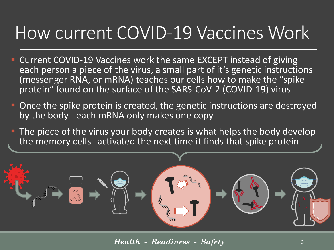#### How current COVID-19 Vaccines Work

- Current COVID-19 Vaccines work the same EXCEPT instead of giving each person a piece of the virus, a small part of it's genetic instructions (messenger RNA, or mRNA) teaches our cells how to make the "spike protein" found on the surface of the SARS-CoV-2 (COVID-19) virus
- **-** Once the spike protein is created, the genetic instructions are destroyed by the body - each mRNA only makes one copy
- **The piece of the virus your body creates is what helps the body develop** the memory cells--activated the next time it finds that spike protein



*Health - Readiness - Safety*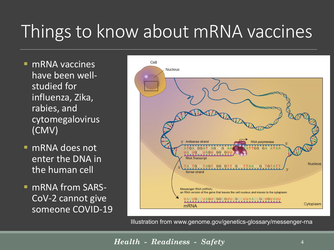### Things to know about mRNA vaccines

- mRNA vaccines have been wellstudied for influenza, Zika, rabies, and cytomegalovirus (CMV)
- mRNA does not enter the DNA in the human cell
- mRNA from SARS-CoV-2 cannot give someone COVID-19



Illustration from www.genome.gov/genetics-glossary/messenger-rna

*Health - Readiness - Safety*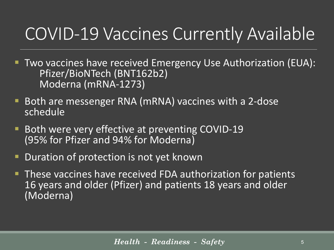#### COVID-19 Vaccines Currently Available

- **Two vaccines have received Emergency Use Authorization (EUA):** Pfizer/BioNTech (BNT162b2) Moderna (mRNA-1273)
- **Both are messenger RNA (mRNA) vaccines with a 2-dose** schedule
- **Both were very effective at preventing COVID-19** (95% for Pfizer and 94% for Moderna)
- Duration of protection is not yet known
- **These vaccines have received FDA authorization for patients** 16 years and older (Pfizer) and patients 18 years and older (Moderna)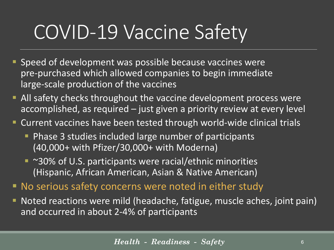## COVID-19 Vaccine Safety

- **Speed of development was possible because vaccines were** pre-purchased which allowed companies to begin immediate large-scale production of the vaccines
- **All safety checks throughout the vaccine development process were** accomplished, as required – just given a priority review at every level
- Current vaccines have been tested through world-wide clinical trials
	- **Phase 3 studies included large number of participants** (40,000+ with Pfizer/30,000+ with Moderna)
	- ~30% of U.S. participants were racial/ethnic minorities (Hispanic, African American, Asian & Native American)
- No serious safety concerns were noted in either study
- Noted reactions were mild (headache, fatigue, muscle aches, joint pain) and occurred in about 2-4% of participants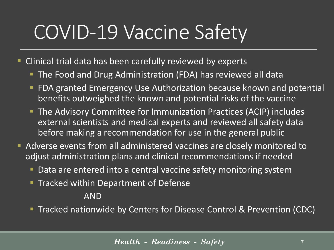## COVID-19 Vaccine Safety

- Clinical trial data has been carefully reviewed by experts
	- **The Food and Drug Administration (FDA) has reviewed all data**
	- **FIDA granted Emergency Use Authorization because known and potential** benefits outweighed the known and potential risks of the vaccine
	- **The Advisory Committee for Immunization Practices (ACIP) includes** external scientists and medical experts and reviewed all safety data before making a recommendation for use in the general public
- Adverse events from all administered vaccines are closely monitored to adjust administration plans and clinical recommendations if needed
	- Data are entered into a central vaccine safety monitoring system
	- **Tracked within Department of Defense**

#### AND

**Tracked nationwide by Centers for Disease Control & Prevention (CDC)**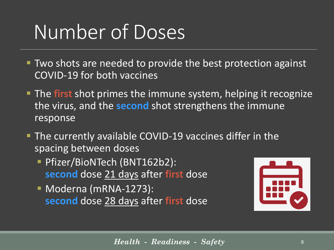## Number of Doses

- **Two shots are needed to provide the best protection against** COVID-19 for both vaccines
- The **first** shot primes the immune system, helping it recognize the virus, and the **second** shot strengthens the immune response
- **The currently available COVID-19 vaccines differ in the** spacing between doses
	- **Phizer/BioNTech (BNT162b2): second** dose 21 days after **first** dose
	- Moderna (mRNA-1273): **second** dose 28 days after **first** dose

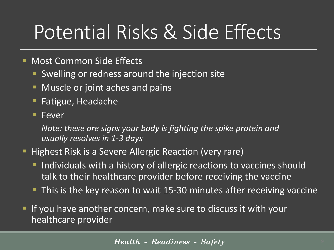## Potential Risks & Side Effects

- **Most Common Side Effects** 
	- **Swelling or redness around the injection site**
	- **Muscle or joint aches and pains**
	- **Fatigue, Headache**
	- **Fever**

*Note: these are signs your body is fighting the spike protein and usually resolves in 1-3 days*

- **Highest Risk is a Severe Allergic Reaction (very rare)** 
	- **Individuals with a history of allergic reactions to vaccines should** talk to their healthcare provider before receiving the vaccine
	- **This is the key reason to wait 15-30 minutes after receiving vaccine**
- If you have another concern, make sure to discuss it with your healthcare provider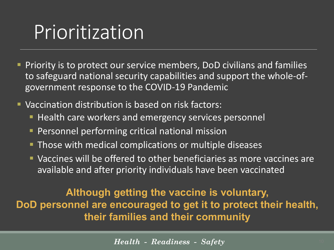### Prioritization

- **Priority is to protect our service members, DoD civilians and families** to safeguard national security capabilities and support the whole-ofgovernment response to the COVID-19 Pandemic
- Vaccination distribution is based on risk factors:
	- **Health care workers and emergency services personnel**
	- **Personnel performing critical national mission**
	- **Those with medical complications or multiple diseases**
	- **Vaccines will be offered to other beneficiaries as more vaccines are** available and after priority individuals have been vaccinated

#### **Although getting the vaccine is voluntary, DoD personnel are encouraged to get it to protect their health, their families and their community**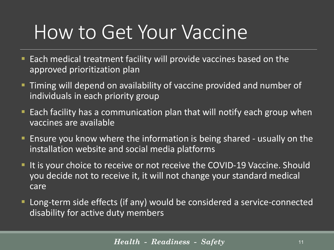## How to Get Your Vaccine

- **Each medical treatment facility will provide vaccines based on the** approved prioritization plan
- **Timing will depend on availability of vaccine provided and number of** individuals in each priority group
- **Each facility has a communication plan that will notify each group when** vaccines are available
- **Ensure you know where the information is being shared usually on the** installation website and social media platforms
- If it is your choice to receive or not receive the COVID-19 Vaccine. Should you decide not to receive it, it will not change your standard medical care
- Long-term side effects (if any) would be considered a service-connected disability for active duty members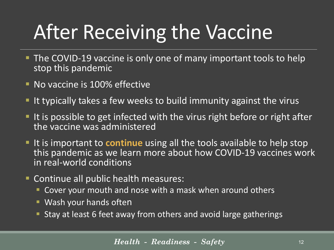# After Receiving the Vaccine

- **The COVID-19 vaccine is only one of many important tools to help** stop this pandemic
- **No vaccine is 100% effective**
- I It typically takes a few weeks to build immunity against the virus
- I It is possible to get infected with the virus right before or right after the vaccine was administered
- If it is important to **continue** using all the tools available to help stop this pandemic as we learn more about how COVID-19 vaccines work in real-world conditions
- **Continue all public health measures:** 
	- Cover your mouth and nose with a mask when around others
	- **Wash your hands often**
	- Stay at least 6 feet away from others and avoid large gatherings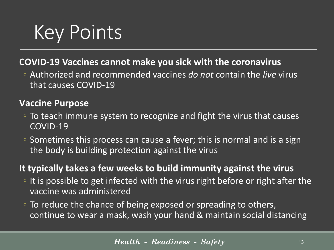# Key Points

#### **COVID-19 Vaccines cannot make you sick with the coronavirus**

◦ Authorized and recommended vaccines *do not* contain the *live* virus that causes COVID-19

#### **Vaccine Purpose**

- To teach immune system to recognize and fight the virus that causes COVID-19
- Sometimes this process can cause a fever; this is normal and is a sign the body is building protection against the virus

#### **It typically takes a few weeks to build immunity against the virus**

- It is possible to get infected with the virus right before or right after the vaccine was administered
- To reduce the chance of being exposed or spreading to others, continue to wear a mask, wash your hand & maintain social distancing